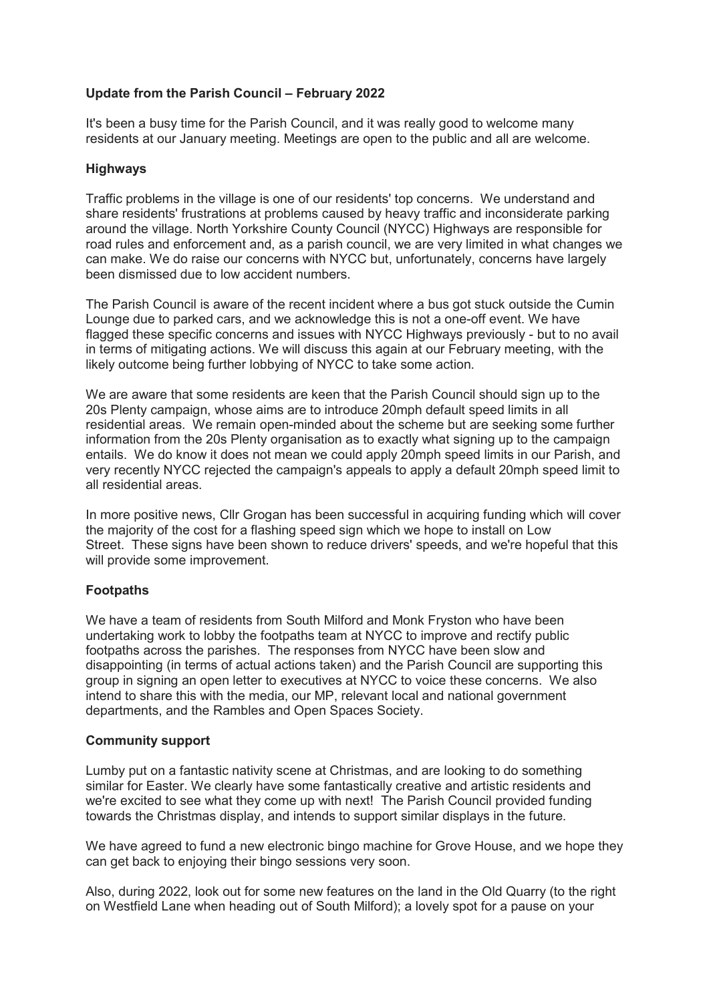## **Update from the Parish Council – February 2022**

It's been a busy time for the Parish Council, and it was really good to welcome many residents at our January meeting. Meetings are open to the public and all are welcome.

## **Highways**

Traffic problems in the village is one of our residents' top concerns. We understand and share residents' frustrations at problems caused by heavy traffic and inconsiderate parking around the village. North Yorkshire County Council (NYCC) Highways are responsible for road rules and enforcement and, as a parish council, we are very limited in what changes we can make. We do raise our concerns with NYCC but, unfortunately, concerns have largely been dismissed due to low accident numbers.

The Parish Council is aware of the recent incident where a bus got stuck outside the Cumin Lounge due to parked cars, and we acknowledge this is not a one-off event. We have flagged these specific concerns and issues with NYCC Highways previously - but to no avail in terms of mitigating actions. We will discuss this again at our February meeting, with the likely outcome being further lobbying of NYCC to take some action.

We are aware that some residents are keen that the Parish Council should sign up to the 20s Plenty campaign, whose aims are to introduce 20mph default speed limits in all residential areas. We remain open-minded about the scheme but are seeking some further information from the 20s Plenty organisation as to exactly what signing up to the campaign entails. We do know it does not mean we could apply 20mph speed limits in our Parish, and very recently NYCC rejected the campaign's appeals to apply a default 20mph speed limit to all residential areas.

In more positive news, Cllr Grogan has been successful in acquiring funding which will cover the majority of the cost for a flashing speed sign which we hope to install on Low Street. These signs have been shown to reduce drivers' speeds, and we're hopeful that this will provide some improvement.

## **Footpaths**

We have a team of residents from South Milford and Monk Fryston who have been undertaking work to lobby the footpaths team at NYCC to improve and rectify public footpaths across the parishes. The responses from NYCC have been slow and disappointing (in terms of actual actions taken) and the Parish Council are supporting this group in signing an open letter to executives at NYCC to voice these concerns. We also intend to share this with the media, our MP, relevant local and national government departments, and the Rambles and Open Spaces Society.

## **Community support**

Lumby put on a fantastic nativity scene at Christmas, and are looking to do something similar for Easter. We clearly have some fantastically creative and artistic residents and we're excited to see what they come up with next! The Parish Council provided funding towards the Christmas display, and intends to support similar displays in the future.

We have agreed to fund a new electronic bingo machine for Grove House, and we hope they can get back to enjoying their bingo sessions very soon.

Also, during 2022, look out for some new features on the land in the Old Quarry (to the right on Westfield Lane when heading out of South Milford); a lovely spot for a pause on your